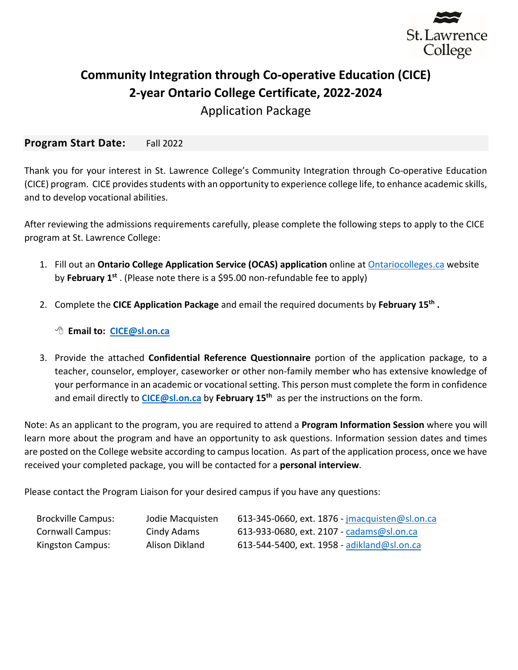

# **Community Integration through Co-operative Education (CICE) 2-year Ontario College Certificate, 2022-2024**

Application Package

#### **Program Start Date:** Fall 2022

Thank you for your interest in St. Lawrence College's Community Integration through Co-operative Education (CICE) program. CICE provides students with an opportunity to experience college life, to enhance academic skills, and to develop vocational abilities.

After reviewing the admissions requirements carefully, please complete the following steps to apply to the CICE program at St. Lawrence College:

- 1. Fill out an **Ontario College Application Service (OCAS) application** online at Ontariocolleges.ca website by **February 1st** . (Please note there is a \$95.00 non-refundable fee to apply)
- 2. Complete the **CICE Application Package** and email the required documents by **February 15th .**

8 **Email to: CICE@sl.on.ca**

3. Provide the attached **Confidential Reference Questionnaire** portion of the application package, to a teacher, counselor, employer, caseworker or other non-family member who has extensive knowledge of your performance in an academic or vocational setting. This person must complete the form in confidence and email directly to **CICE@sl.on.ca** by **February 15th** as per the instructions on the form.

Note: As an applicant to the program, you are required to attend a **Program Information Session** where you will learn more about the program and have an opportunity to ask questions. Information session dates and times are posted on the College website according to campus location. As part of the application process, once we have received your completed package, you will be contacted for a **personal interview**.

Please contact the Program Liaison for your desired campus if you have any questions:

| <b>Brockville Campus:</b> | Jodie Macquisten | 613-345-0660, ext. $1876$ - jmacquisten@sl.on.ca |
|---------------------------|------------------|--------------------------------------------------|
| <b>Cornwall Campus:</b>   | Cindy Adams      | 613-933-0680, ext. 2107 - cadams@sl.on.ca        |
| <b>Kingston Campus:</b>   | Alison Dikland   | 613-544-5400, ext. 1958 - adikland@sl.on.ca      |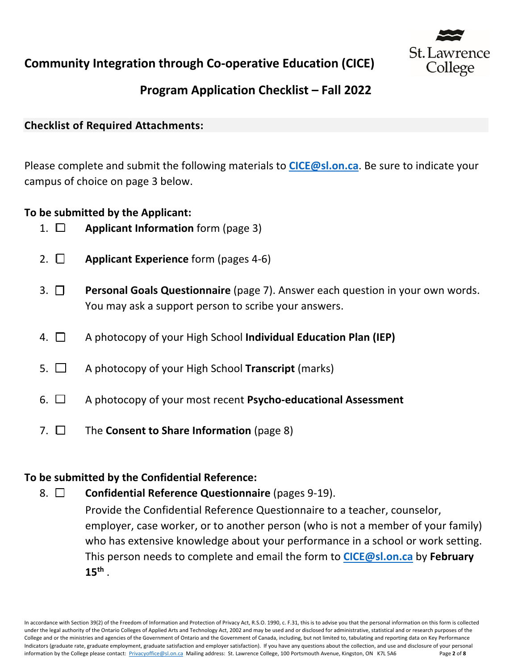

# **Program Application Checklist – Fall 2022**

### **Checklist of Required Attachments:**

Please complete and submit the following materials to **CICE@sl.on.ca**. Be sure to indicate your campus of choice on page 3 below.

### **To be submitted by the Applicant:**

- 1. □ **Applicant Information** form (page 3)
- 2. □ **Applicant Experience** form (pages 4-6)
- 3. ¨ **Personal Goals Questionnaire** (page 7). Answer each question in your own words. You may ask a support person to scribe your answers.
- 4. □ A photocopy of your High School **Individual Education Plan (IEP)**
- 5. □ A photocopy of your High School **Transcript** (marks)
- 6. ¨ A photocopy of your most recent **Psycho-educational Assessment**
- 7. □ The **Consent to Share Information** (page 8)

### **To be submitted by the Confidential Reference:**

### 8.  $\Box$  **Confidential Reference Questionnaire** (pages 9-19).

Provide the Confidential Reference Questionnaire to a teacher, counselor, employer, case worker, or to another person (who is not a member of your family) who has extensive knowledge about your performance in a school or work setting. This person needs to complete and email the form to **CICE@sl.on.ca** by **February 15th** .

In accordance with Section 39(2) of the Freedom of Information and Protection of Privacy Act, R.S.O. 1990, c. F.31, this is to advise you that the personal information on this form is collected under the legal authority of the Ontario Colleges of Applied Arts and Technology Act, 2002 and may be used and or disclosed for administrative, statistical and or research purposes of the College and or the ministries and agencies of the Government of Ontario and the Government of Canada, including, but not limited to, tabulating and reporting data on Key Performance Indicators (graduate rate, graduate employment, graduate satisfaction and employer satisfaction). If you have any questions about the collection, and use and disclosure of your personal information by the College please contact: Privacyoffice@sl.on.ca Mailing address: St. Lawrence College, 100 Portsmouth Avenue, Kingston, ON K7L 5A6 Page **2** of **8**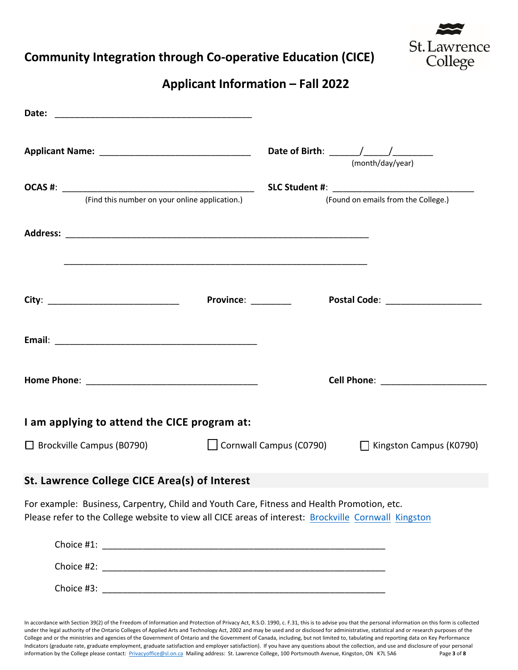

### **Applicant Information – Fall 2022**

|                                                                                                                                                                                                    | (month/day/year)                                      |
|----------------------------------------------------------------------------------------------------------------------------------------------------------------------------------------------------|-------------------------------------------------------|
|                                                                                                                                                                                                    |                                                       |
| (Find this number on your online application.)                                                                                                                                                     | (Found on emails from the College.)                   |
|                                                                                                                                                                                                    |                                                       |
|                                                                                                                                                                                                    | <b>Province:</b><br>Postal Code: ____________________ |
|                                                                                                                                                                                                    |                                                       |
|                                                                                                                                                                                                    |                                                       |
|                                                                                                                                                                                                    |                                                       |
| I am applying to attend the CICE program at:                                                                                                                                                       |                                                       |
| $\Box$ Brockville Campus (B0790)                                                                                                                                                                   | □ Cornwall Campus (C0790) □ Kingston Campus (K0790)   |
| St. Lawrence College CICE Area(s) of Interest                                                                                                                                                      |                                                       |
| For example: Business, Carpentry, Child and Youth Care, Fitness and Health Promotion, etc.<br>Please refer to the College website to view all CICE areas of interest: Brockville Cornwall Kingston |                                                       |
|                                                                                                                                                                                                    |                                                       |
|                                                                                                                                                                                                    |                                                       |
|                                                                                                                                                                                                    |                                                       |

In accordance with Section 39(2) of the Freedom of Information and Protection of Privacy Act, R.S.O. 1990, c. F.31, this is to advise you that the personal information on this form is collected under the legal authority of the Ontario Colleges of Applied Arts and Technology Act, 2002 and may be used and or disclosed for administrative, statistical and or research purposes of the College and or the ministries and agencies of the Government of Ontario and the Government of Canada, including, but not limited to, tabulating and reporting data on Key Performance Indicators (graduate rate, graduate employment, graduate satisfaction and employer satisfaction). If you have any questions about the collection, and use and disclosure of your personal information by the College please contact: Privacyoffice@sl.on.ca Mailing address: St. Lawrence College, 100 Portsmouth Avenue, Kingston, ON K7L 5A6 Page **3** of **8**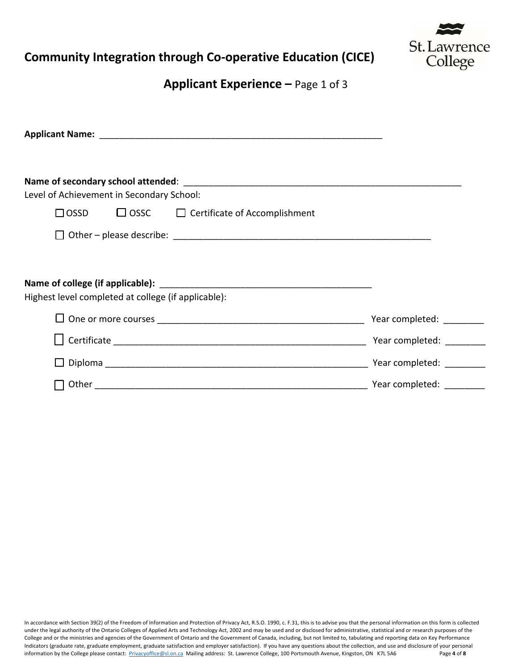

**Applicant Experience –** Page 1 of 3

| Level of Achievement in Secondary School:           |             |                                      |                           |
|-----------------------------------------------------|-------------|--------------------------------------|---------------------------|
| $\Box$ OSSD                                         | $\Box$ OSSC | $\Box$ Certificate of Accomplishment |                           |
|                                                     |             |                                      |                           |
| Highest level completed at college (if applicable): |             |                                      |                           |
|                                                     |             | Year completed: ________             |                           |
|                                                     |             |                                      |                           |
|                                                     |             |                                      | Year completed: _________ |
| Other                                               |             |                                      | Year completed: ________  |

In accordance with Section 39(2) of the Freedom of Information and Protection of Privacy Act, R.S.O. 1990, c. F.31, this is to advise you that the personal information on this form is collected under the legal authority of the Ontario Colleges of Applied Arts and Technology Act, 2002 and may be used and or disclosed for administrative, statistical and or research purposes of the College and or the ministries and agencies of the Government of Ontario and the Government of Canada, including, but not limited to, tabulating and reporting data on Key Performance Indicators (graduate rate, graduate employment, graduate satisfaction and employer satisfaction). If you have any questions about the collection, and use and disclosure of your personal information by the College please contact: Privacyoffice@sl.on.ca Mailing address: St. Lawrence College, 100 Portsmouth Avenue, Kingston, ON K7L 5A6 Page **4** of **8**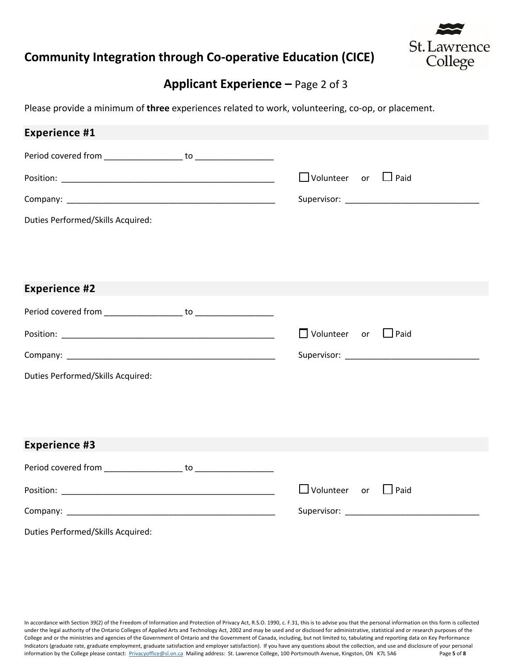

### **Applicant Experience –** Page 2 of 3

Please provide a minimum of **three** experiences related to work, volunteering, co-op, or placement.

| <b>Experience #1</b>              |                                 |                                                                                                                 |
|-----------------------------------|---------------------------------|-----------------------------------------------------------------------------------------------------------------|
|                                   |                                 |                                                                                                                 |
|                                   | $\Box$ Volunteer or $\Box$ Paid |                                                                                                                 |
|                                   |                                 |                                                                                                                 |
| Duties Performed/Skills Acquired: |                                 |                                                                                                                 |
|                                   |                                 |                                                                                                                 |
|                                   |                                 |                                                                                                                 |
| <b>Experience #2</b>              |                                 |                                                                                                                 |
|                                   |                                 |                                                                                                                 |
|                                   | $\Box$ Volunteer or             | $\Box$ Paid                                                                                                     |
|                                   |                                 |                                                                                                                 |
| Duties Performed/Skills Acquired: |                                 |                                                                                                                 |
|                                   |                                 |                                                                                                                 |
|                                   |                                 |                                                                                                                 |
| <b>Experience #3</b>              |                                 |                                                                                                                 |
|                                   |                                 |                                                                                                                 |
|                                   | $\Box$ Volunteer or             | $\Box$ Paid                                                                                                     |
|                                   |                                 | Supervisor: National Accounts and Accounts and Accounts and Accounts and Accounts and Accounts and Accounts and |
| Duties Performed/Skills Acquired: |                                 |                                                                                                                 |

In accordance with Section 39(2) of the Freedom of Information and Protection of Privacy Act, R.S.O. 1990, c. F.31, this is to advise you that the personal information on this form is collected under the legal authority of the Ontario Colleges of Applied Arts and Technology Act, 2002 and may be used and or disclosed for administrative, statistical and or research purposes of the College and or the ministries and agencies of the Government of Ontario and the Government of Canada, including, but not limited to, tabulating and reporting data on Key Performance Indicators (graduate rate, graduate employment, graduate satisfaction and employer satisfaction). If you have any questions about the collection, and use and disclosure of your personal information by the College please contact: Privacyoffice@sl.on.ca Mailing address: St. Lawrence College, 100 Portsmouth Avenue, Kingston, ON K7L 5A6 Page **5** of **8**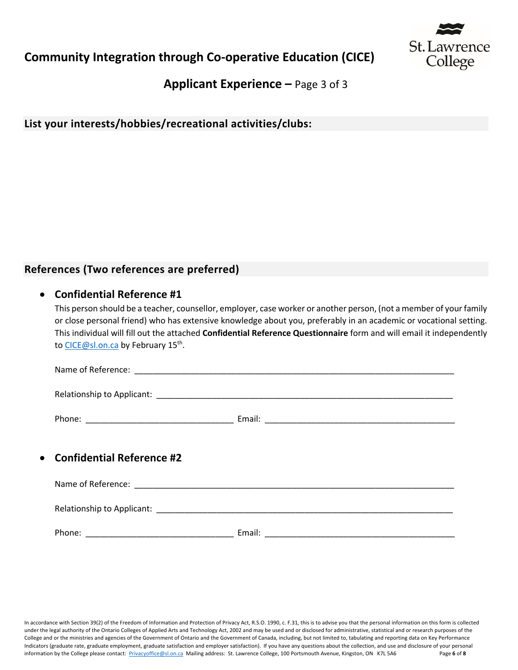

**Applicant Experience –** Page 3 of 3

**List your interests/hobbies/recreational activities/clubs:**

### **References (Two references are preferred)**

#### • **Confidential Reference #1**

This person should be a teacher, counsellor, employer, case worker or another person, (not a member of your family or close personal friend) who has extensive knowledge about you, preferably in an academic or vocational setting. This individual will fill out the attached **Confidential Reference Questionnaire** form and will email it independently to CICE@sl.on.ca by February 15<sup>th</sup>.

| • Confidential Reference #2 |        |
|-----------------------------|--------|
|                             |        |
|                             |        |
| Phone:                      | Email: |

In accordance with Section 39(2) of the Freedom of Information and Protection of Privacy Act, R.S.O. 1990, c. F.31, this is to advise you that the personal information on this form is collected under the legal authority of the Ontario Colleges of Applied Arts and Technology Act, 2002 and may be used and or disclosed for administrative, statistical and or research purposes of the College and or the ministries and agencies of the Government of Ontario and the Government of Canada, including, but not limited to, tabulating and reporting data on Key Performance Indicators (graduate rate, graduate employment, graduate satisfaction and employer satisfaction). If you have any questions about the collection, and use and disclosure of your personal information by the College please contact: Privacyoffice@sl.on.ca Mailing address: St. Lawrence College, 100 Portsmouth Avenue, Kingston, ON K7L 5A6 Page **6** of **8**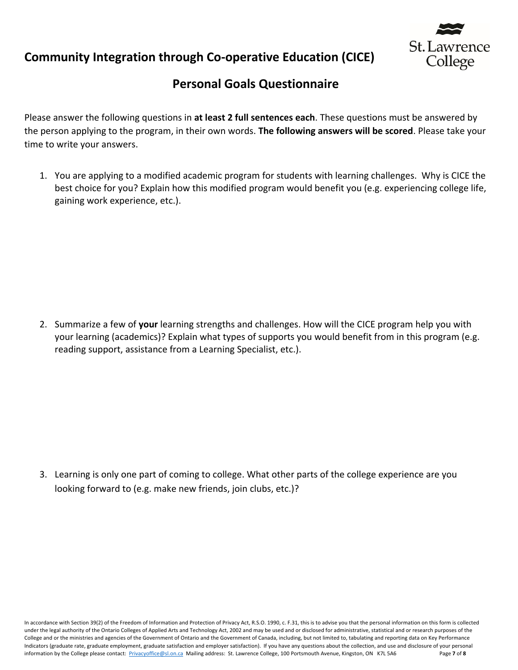



### **Personal Goals Questionnaire**

Please answer the following questions in **at least 2 full sentences each**. These questions must be answered by the person applying to the program, in their own words. **The following answers will be scored**. Please take your time to write your answers.

1. You are applying to a modified academic program for students with learning challenges. Why is CICE the best choice for you? Explain how this modified program would benefit you (e.g. experiencing college life, gaining work experience, etc.).

2. Summarize a few of **your** learning strengths and challenges. How will the CICE program help you with your learning (academics)? Explain what types of supports you would benefit from in this program (e.g. reading support, assistance from a Learning Specialist, etc.).

3. Learning is only one part of coming to college. What other parts of the college experience are you looking forward to (e.g. make new friends, join clubs, etc.)?